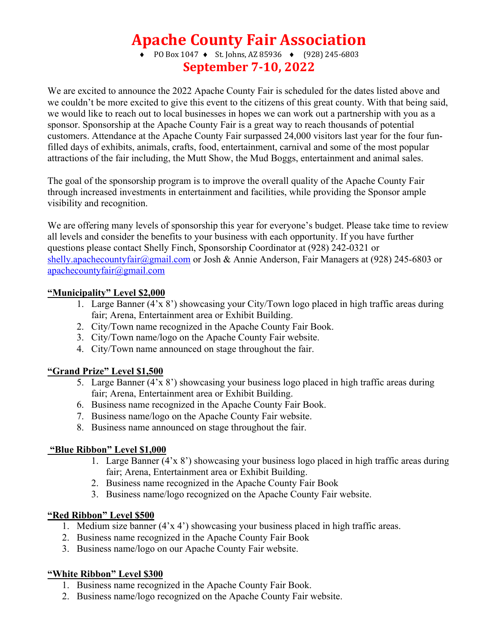## **Apache County Fair Association**

• PO Box 1047 • St. Johns, AZ 85936 • (928) 245-6803 **September 7-10, 2022**

We are excited to announce the 2022 Apache County Fair is scheduled for the dates listed above and we couldn't be more excited to give this event to the citizens of this great county. With that being said, we would like to reach out to local businesses in hopes we can work out a partnership with you as a sponsor. Sponsorship at the Apache County Fair is a great way to reach thousands of potential customers. Attendance at the Apache County Fair surpassed 24,000 visitors last year for the four funfilled days of exhibits, animals, crafts, food, entertainment, carnival and some of the most popular attractions of the fair including, the Mutt Show, the Mud Boggs, entertainment and animal sales.

The goal of the sponsorship program is to improve the overall quality of the Apache County Fair through increased investments in entertainment and facilities, while providing the Sponsor ample visibility and recognition.

We are offering many levels of sponsorship this year for everyone's budget. Please take time to review all levels and consider the benefits to your business with each opportunity. If you have further questions please contact Shelly Finch, Sponsorship Coordinator at (928) 242-0321 or shelly.apachecountyfair@gmail.com or Josh & Annie Anderson, Fair Managers at (928) 245-6803 or apachecountyfair@gmail.com

### **"Municipality" Level \$2,000**

- 1. Large Banner (4'x 8') showcasing your City/Town logo placed in high traffic areas during fair; Arena, Entertainment area or Exhibit Building.
- 2. City/Town name recognized in the Apache County Fair Book.
- 3. City/Town name/logo on the Apache County Fair website.
- 4. City/Town name announced on stage throughout the fair.

## **"Grand Prize" Level \$1,500**

- 5. Large Banner (4'x 8') showcasing your business logo placed in high traffic areas during fair; Arena, Entertainment area or Exhibit Building.
- 6. Business name recognized in the Apache County Fair Book.
- 7. Business name/logo on the Apache County Fair website.
- 8. Business name announced on stage throughout the fair.

### **"Blue Ribbon" Level \$1,000**

- 1. Large Banner (4'x 8') showcasing your business logo placed in high traffic areas during fair; Arena, Entertainment area or Exhibit Building.
- 2. Business name recognized in the Apache County Fair Book
- 3. Business name/logo recognized on the Apache County Fair website.

## **"Red Ribbon" Level \$500**

- 1. Medium size banner (4'x 4') showcasing your business placed in high traffic areas.
- 2. Business name recognized in the Apache County Fair Book
- 3. Business name/logo on our Apache County Fair website.

## **"White Ribbon" Level \$300**

- 1. Business name recognized in the Apache County Fair Book.
- 2. Business name/logo recognized on the Apache County Fair website.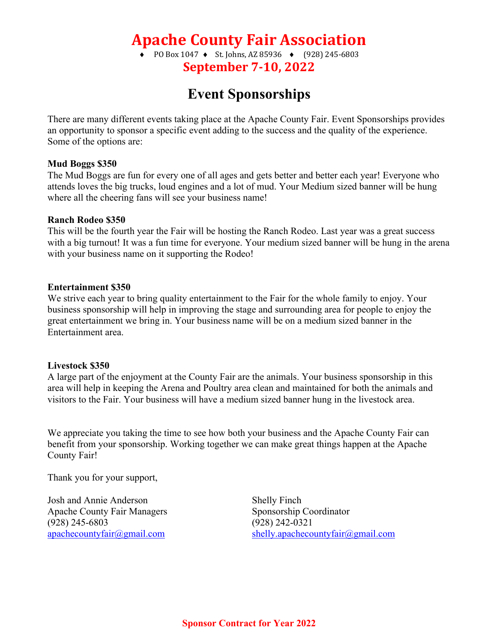# **Apache County Fair Association**

• PO Box 1047 • St. Johns, AZ 85936 • (928) 245-6803 **September 7-10, 2022**

## **Event Sponsorships**

There are many different events taking place at the Apache County Fair. Event Sponsorships provides an opportunity to sponsor a specific event adding to the success and the quality of the experience. Some of the options are:

### **Mud Boggs \$350**

The Mud Boggs are fun for every one of all ages and gets better and better each year! Everyone who attends loves the big trucks, loud engines and a lot of mud. Your Medium sized banner will be hung where all the cheering fans will see your business name!

### **Ranch Rodeo \$350**

This will be the fourth year the Fair will be hosting the Ranch Rodeo. Last year was a great success with a big turnout! It was a fun time for everyone. Your medium sized banner will be hung in the arena with your business name on it supporting the Rodeo!

### **Entertainment \$350**

We strive each year to bring quality entertainment to the Fair for the whole family to enjoy. Your business sponsorship will help in improving the stage and surrounding area for people to enjoy the great entertainment we bring in. Your business name will be on a medium sized banner in the Entertainment area.

### **Livestock \$350**

A large part of the enjoyment at the County Fair are the animals. Your business sponsorship in this area will help in keeping the Arena and Poultry area clean and maintained for both the animals and visitors to the Fair. Your business will have a medium sized banner hung in the livestock area.

We appreciate you taking the time to see how both your business and the Apache County Fair can benefit from your sponsorship. Working together we can make great things happen at the Apache County Fair!

Thank you for your support,

Josh and Annie Anderson Shelly Finch Apache County Fair Managers Sponsorship Coordinator (928) 245-6803 (928) 242-0321

apachecountyfair@gmail.com shelly.apachecountyfair@gmail.com